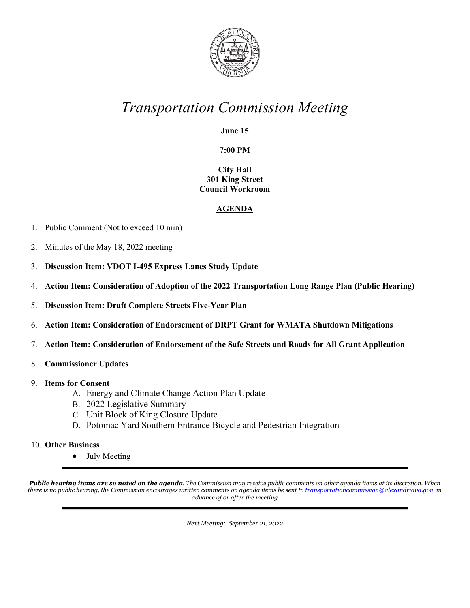

## *Transportation Commission Meeting*

**June 15**

**7:00 PM**

**City Hall 301 King Street Council Workroom**

## **AGENDA**

- 1. Public Comment (Not to exceed 10 min)
- 2. Minutes of the May 18, 2022 meeting
- 3. **Discussion Item: VDOT I-495 Express Lanes Study Update**
- 4. **Action Item: Consideration of Adoption of the 2022 Transportation Long Range Plan (Public Hearing)**
- 5. **Discussion Item: Draft Complete Streets Five-Year Plan**
- 6. **Action Item: Consideration of Endorsement of DRPT Grant for WMATA Shutdown Mitigations**
- 7. **Action Item: Consideration of Endorsement of the Safe Streets and Roads for All Grant Application**
- 8. **Commissioner Updates**
- 9. **Items for Consent**
	- A. Energy and Climate Change Action Plan Update
	- B. 2022 Legislative Summary
	- C. Unit Block of King Closure Update
	- D. Potomac Yard Southern Entrance Bicycle and Pedestrian Integration
- 10. **Other Business**
	- July Meeting

*Public hearing items are so noted on the agenda. The Commission may receive public comments on other agenda items at its discretion. When there is no public hearing, the Commission encourages written comments on agenda items be sent to [transportationcommission@alexandriava.gov](mailto:transportationcommission@alexandriava.gov) in advance of or after the meeting*

*Next Meeting: September 21, 2022*